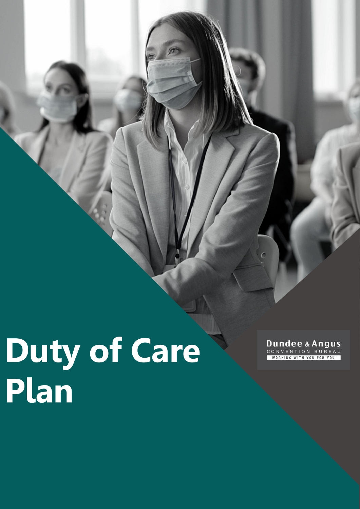**Duty of Care Plan**

Dundee & Angus **WORKING WITH YOU FOR YOU**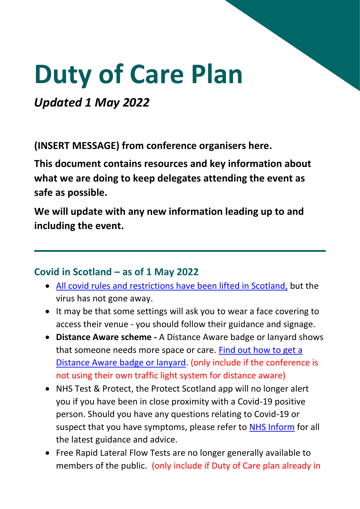# **Duty of Care Plan**

*Updated 1 May 2022*

**(INSERT MESSAGE) from conference organisers here.**

**This document contains resources and key information about what we are doing to keep delegates attending the event as safe as possible.** 

**We will update with any new information leading up to and including the event.**

## **Covid in Scotland – as of 1 May 2022**

- [All covid rules and restrictions have been lifted in Scotland,](https://www.gov.scot/coronavirus-covid-19/) but the virus has not gone away.
- It may be that some settings will ask you to wear a face covering to access their venue - you should follow their guidance and signage.
- **Distance Aware scheme -** A Distance Aware badge or lanyard shows that someone needs more space or care. [Find out how to get a](https://www.gov.scot/publications/coronavirus-covid-19-distance-aware-scheme/)  [Distance Aware badge or lanyard.](https://www.gov.scot/publications/coronavirus-covid-19-distance-aware-scheme/) (only include if the conference is not using their own traffic light system for distance aware)
- NHS Test & Protect, the Protect Scotland app will no longer alert you if you have been in close proximity with a Covid-19 positive person. Should you have any questions relating to Covid-19 or suspect that you have symptoms, please refer to [NHS Inform](https://www.nhsinform.scot/illnesses-and-conditions/infections-and-poisoning/coronavirus-covid-19) for all the latest guidance and advice.
- Free Rapid Lateral Flow Tests are no longer generally available to members of the public. (only include if Duty of Care plan already in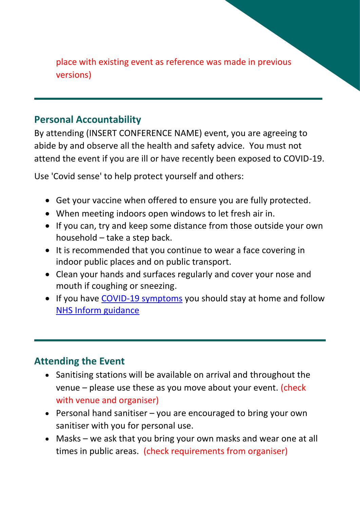place with existing event as reference was made in previous versions)

## **Personal Accountability**

By attending (INSERT CONFERENCE NAME) event, you are agreeing to abide by and observe all the health and safety advice. You must not attend the event if you are ill or have recently been exposed to COVID-19.

Use 'Covid sense' to help protect yourself and others:

- Get your vaccine when offered to ensure you are fully protected.
- When meeting indoors open windows to let fresh air in.
- If you can, try and keep some distance from those outside your own household – take a step back.
- It is recommended that you continue to wear a face covering in indoor public places and on public transport.
- Clean your hands and surfaces regularly and cover your nose and mouth if coughing or sneezing.
- If you have [COVID-19 symptoms](https://www.nhsinform.scot/illnesses-and-conditions/infections-and-poisoning/coronavirus-covid-19/coronavirus-covid-19#:~:text=to%20other%20people.-,Symptoms,-Stay%20at%20home) you should stay at home and follow [NHS Inform guidance](https://www.nhsinform.scot/illnesses-and-conditions/infections-and-poisoning/coronavirus-covid-19/coronavirus-covid-19#:~:text=to%20other%20people.-,Symptoms,-Stay%20at%20home)

## **Attending the Event**

- Sanitising stations will be available on arrival and throughout the venue – please use these as you move about your event. (check with venue and organiser)
- Personal hand sanitiser you are encouraged to bring your own sanitiser with you for personal use.
- Masks we ask that you bring your own masks and wear one at all times in public areas. (check requirements from organiser)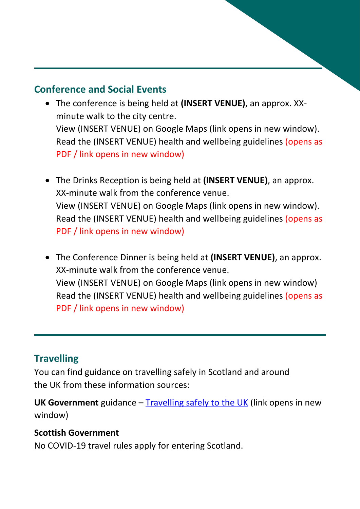## **Conference and Social Events**

- The conference is being held at **(INSERT VENUE)**, an approx. XXminute walk to the city centre. View (INSERT VENUE) on Google Maps (link opens in new window). Read the (INSERT VENUE) health and wellbeing guidelines (opens as PDF / link opens in new window)
- The Drinks Reception is being held at **(INSERT VENUE)**, an approx. XX-minute walk from the conference venue. View (INSERT VENUE) on Google Maps (link opens in new window). Read the (INSERT VENUE) health and wellbeing guidelines (opens as PDF / link opens in new window)
- The Conference Dinner is being held at **(INSERT VENUE)**, an approx. XX-minute walk from the conference venue. View (INSERT VENUE) on Google Maps (link opens in new window) Read the (INSERT VENUE) health and wellbeing guidelines (opens as PDF / link opens in new window)

## **Travelling**

You can find guidance on travelling safely in Scotland and around the UK from these information sources:

**UK Government** guidance – [Travelling safely to the UK](https://www.gov.uk/guidance/coronavirus-covid-19-safer-air-travel-guidance-for-passengers) (link opens in new window)

## **Scottish Government**

No COVID-19 travel rules apply for entering Scotland.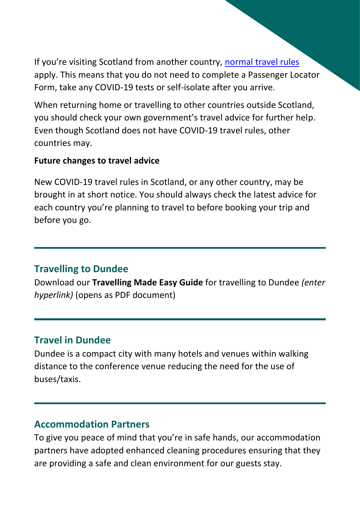If you're visiting Scotland from another country, [normal travel rules](https://www.gov.uk/uk-border-control) apply. This means that you do not need to complete a Passenger Locator Form, take any COVID-19 tests or self-isolate after you arrive.

When returning home or travelling to other countries outside Scotland, you should check your own government's travel advice for further help. Even though Scotland does not have COVID-19 travel rules, other countries may.

#### **Future changes to travel advice**

New COVID-19 travel rules in Scotland, or any other country, may be brought in at short notice. You should always check the latest advice for each country you're planning to travel to before booking your trip and before you go.

## **Travelling to Dundee**

Download our **Travelling Made Easy Guide** for travelling to Dundee *(enter hyperlink)* (opens as PDF document)

## **Travel in Dundee**

Dundee is a compact city with many hotels and venues within walking distance to the conference venue reducing the need for the use of buses/taxis.

## **Accommodation Partners**

To give you peace of mind that you're in safe hands, our accommodation partners have adopted enhanced cleaning procedures ensuring that they are providing a safe and clean environment for our guests stay.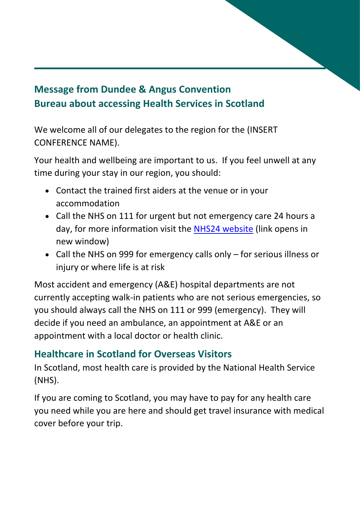# **Message from Dundee & Angus Convention Bureau about accessing Health Services in Scotland**

We welcome all of our delegates to the region for the (INSERT CONFERENCE NAME).

Your health and wellbeing are important to us. If you feel unwell at any time during your stay in our region, you should:

- Contact the trained first aiders at the venue or in your accommodation
- Call the NHS on 111 for urgent but not emergency care 24 hours a day, for more information visit the [NHS24 website](https://www.nhs24.scot/) (link opens in new window)
- Call the NHS on 999 for emergency calls only for serious illness or injury or where life is at risk

Most accident and emergency (A&E) hospital departments are not currently accepting walk-in patients who are not serious emergencies, so you should always call the NHS on 111 or 999 (emergency). They will decide if you need an ambulance, an appointment at A&E or an appointment with a local doctor or health clinic.

# **Healthcare in Scotland for Overseas Visitors**

In Scotland, most health care is provided by the National Health Service (NHS).

If you are coming to Scotland, you may have to pay for any health care you need while you are here and should get travel insurance with medical cover before your trip.